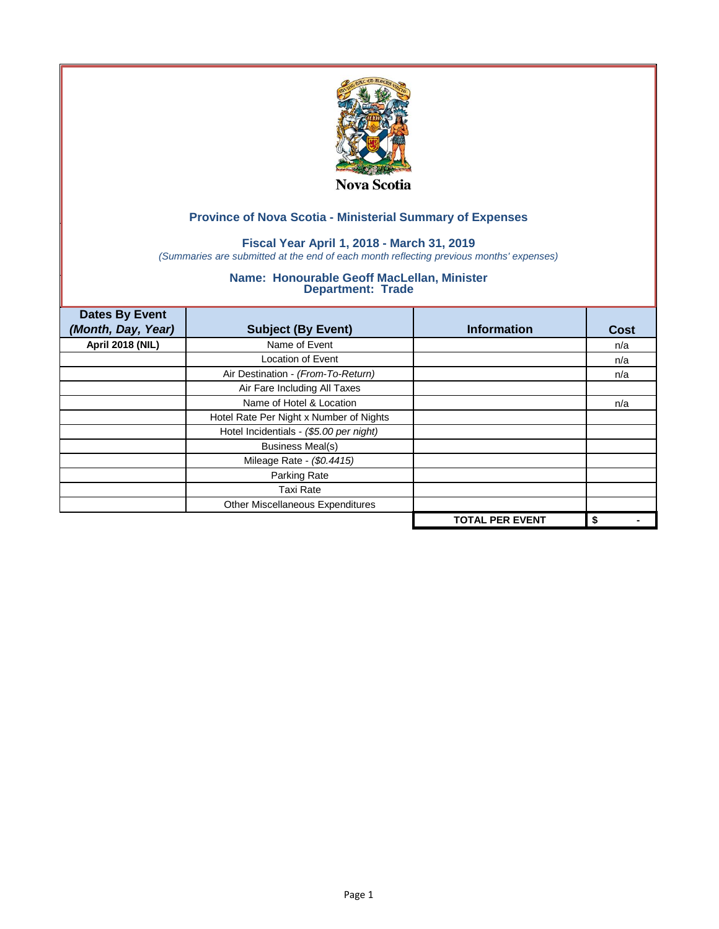

## **Fiscal Year April 1, 2018 - March 31, 2019**

*(Summaries are submitted at the end of each month reflecting previous months' expenses)*

| <b>Dates By Event</b>   |                                         |                        |             |
|-------------------------|-----------------------------------------|------------------------|-------------|
| (Month, Day, Year)      | <b>Subject (By Event)</b>               | <b>Information</b>     | <b>Cost</b> |
| <b>April 2018 (NIL)</b> | Name of Event                           |                        | n/a         |
|                         | <b>Location of Event</b>                |                        | n/a         |
|                         | Air Destination - (From-To-Return)      |                        | n/a         |
|                         | Air Fare Including All Taxes            |                        |             |
|                         | Name of Hotel & Location                |                        | n/a         |
|                         | Hotel Rate Per Night x Number of Nights |                        |             |
|                         | Hotel Incidentials - (\$5.00 per night) |                        |             |
|                         | <b>Business Meal(s)</b>                 |                        |             |
|                         | Mileage Rate - (\$0.4415)               |                        |             |
|                         | Parking Rate                            |                        |             |
|                         | Taxi Rate                               |                        |             |
|                         | Other Miscellaneous Expenditures        |                        |             |
|                         |                                         | <b>TOTAL PER EVENT</b> | \$          |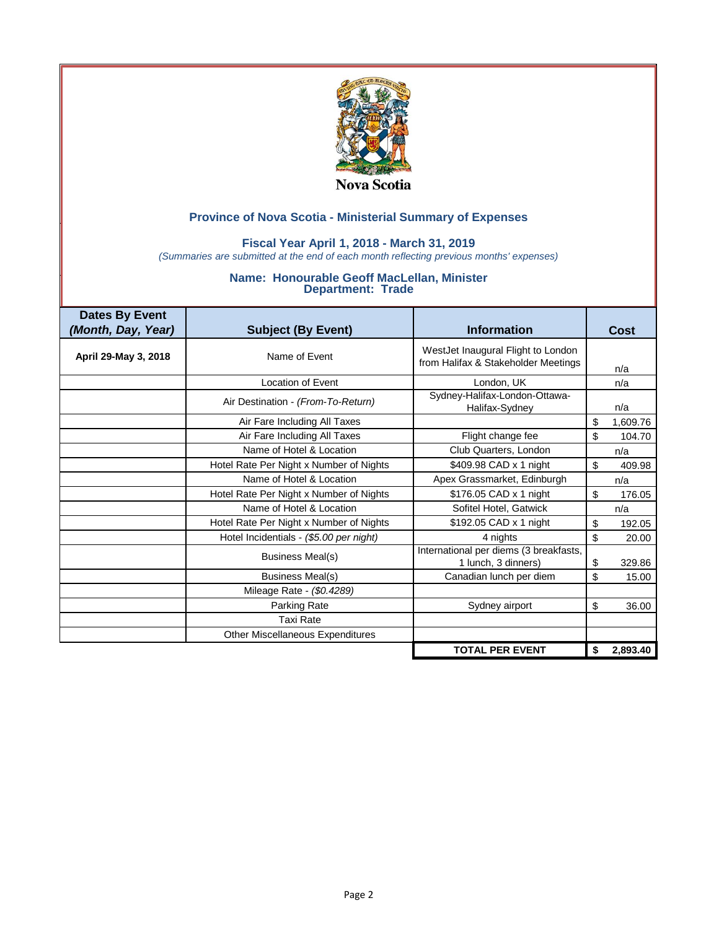

### **Fiscal Year April 1, 2018 - March 31, 2019**

*(Summaries are submitted at the end of each month reflecting previous months' expenses)*

| <b>Dates By Event</b> |                                         |                                                                           |                |
|-----------------------|-----------------------------------------|---------------------------------------------------------------------------|----------------|
| (Month, Day, Year)    | <b>Subject (By Event)</b>               | <b>Information</b>                                                        | <b>Cost</b>    |
| April 29-May 3, 2018  | Name of Event                           | WestJet Inaugural Flight to London<br>from Halifax & Stakeholder Meetings | n/a            |
|                       | <b>Location of Event</b>                | London, UK                                                                | n/a            |
|                       | Air Destination - (From-To-Return)      | Sydney-Halifax-London-Ottawa-<br>Halifax-Sydney                           | n/a            |
|                       | Air Fare Including All Taxes            |                                                                           | \$<br>1,609.76 |
|                       | Air Fare Including All Taxes            | Flight change fee                                                         | \$<br>104.70   |
|                       | Name of Hotel & Location                | Club Quarters, London                                                     | n/a            |
|                       | Hotel Rate Per Night x Number of Nights | \$409.98 CAD x 1 night                                                    | \$<br>409.98   |
|                       | Name of Hotel & Location                | Apex Grassmarket, Edinburgh                                               | n/a            |
|                       | Hotel Rate Per Night x Number of Nights | \$176.05 CAD x 1 night                                                    | \$<br>176.05   |
|                       | Name of Hotel & Location                | Sofitel Hotel, Gatwick                                                    | n/a            |
|                       | Hotel Rate Per Night x Number of Nights | \$192.05 CAD x 1 night                                                    | \$<br>192.05   |
|                       | Hotel Incidentials - (\$5.00 per night) | 4 nights                                                                  | \$<br>20.00    |
|                       | Business Meal(s)                        | International per diems (3 breakfasts,<br>1 lunch, 3 dinners)             | \$<br>329.86   |
|                       | <b>Business Meal(s)</b>                 | Canadian lunch per diem                                                   | \$<br>15.00    |
|                       | Mileage Rate - (\$0.4289)               |                                                                           |                |
|                       | <b>Parking Rate</b>                     | Sydney airport                                                            | \$<br>36.00    |
|                       | <b>Taxi Rate</b>                        |                                                                           |                |
|                       | Other Miscellaneous Expenditures        |                                                                           |                |
|                       |                                         | <b>TOTAL PER EVENT</b>                                                    | \$<br>2,893.40 |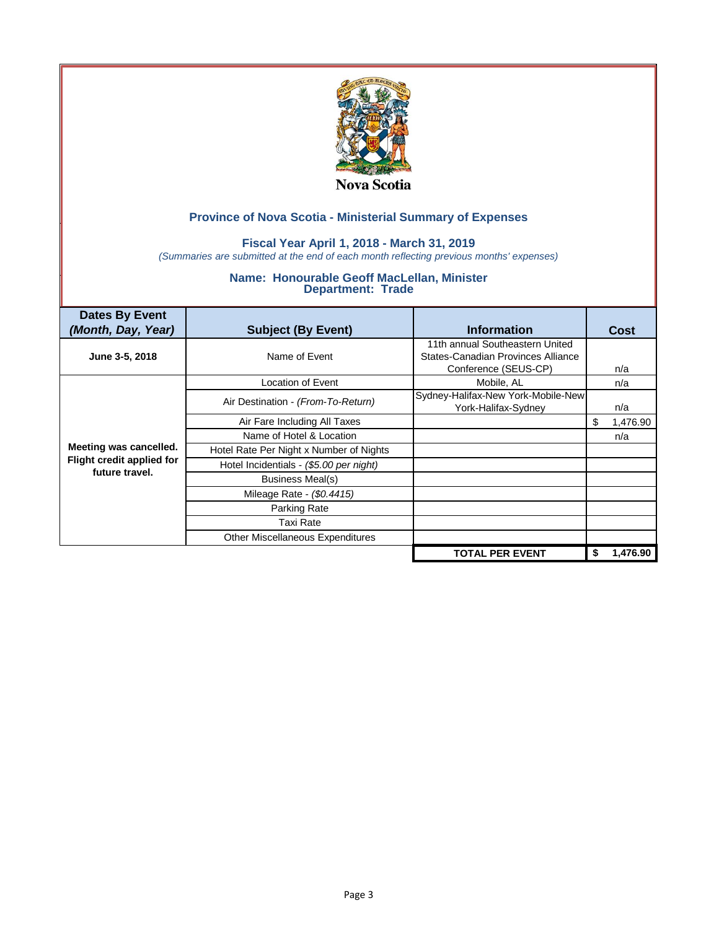

### **Fiscal Year April 1, 2018 - March 31, 2019**

*(Summaries are submitted at the end of each month reflecting previous months' expenses)*

| <b>Dates By Event</b><br>(Month, Day, Year) | <b>Subject (By Event)</b>               | <b>Information</b>                                                                            | Cost           |
|---------------------------------------------|-----------------------------------------|-----------------------------------------------------------------------------------------------|----------------|
| June 3-5, 2018                              | Name of Event                           | 11th annual Southeastern United<br>States-Canadian Provinces Alliance<br>Conference (SEUS-CP) | n/a            |
|                                             | Location of Event                       | Mobile, AL                                                                                    | n/a            |
|                                             | Air Destination - (From-To-Return)      | Sydney-Halifax-New York-Mobile-New<br>York-Halifax-Sydney                                     | n/a            |
|                                             | Air Fare Including All Taxes            |                                                                                               | 1,476.90<br>\$ |
|                                             | Name of Hotel & Location                |                                                                                               | n/a            |
| Meeting was cancelled.                      | Hotel Rate Per Night x Number of Nights |                                                                                               |                |
| Flight credit applied for<br>future travel. | Hotel Incidentials - (\$5.00 per night) |                                                                                               |                |
|                                             | Business Meal(s)                        |                                                                                               |                |
|                                             | Mileage Rate - (\$0.4415)               |                                                                                               |                |
|                                             | Parking Rate                            |                                                                                               |                |
|                                             | Taxi Rate                               |                                                                                               |                |
|                                             | Other Miscellaneous Expenditures        |                                                                                               |                |
|                                             |                                         | <b>TOTAL PER EVENT</b>                                                                        | 1.476.90<br>\$ |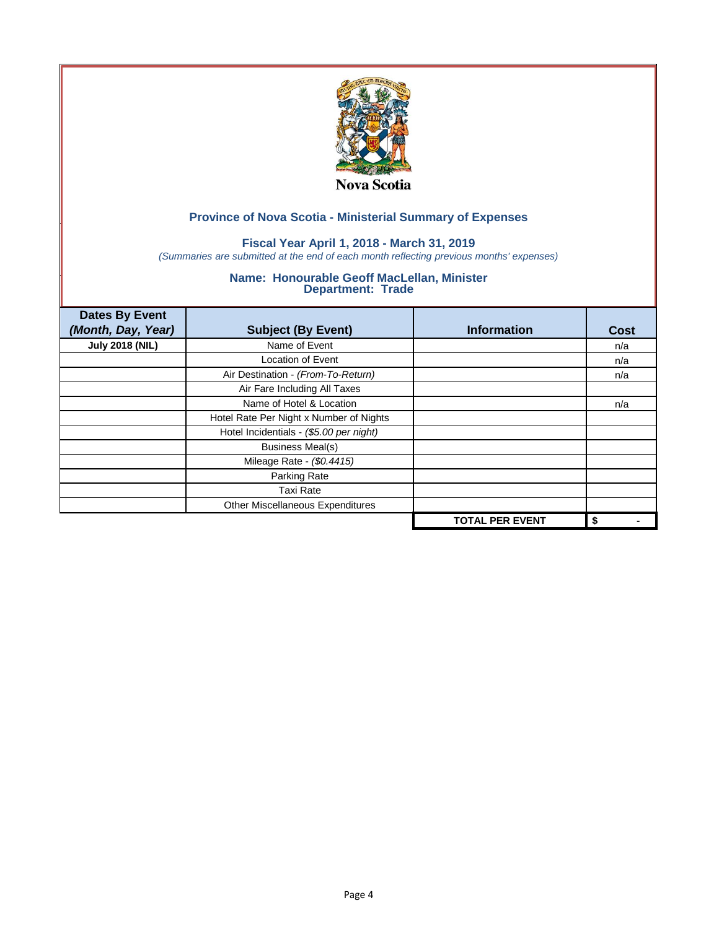

## **Fiscal Year April 1, 2018 - March 31, 2019**

*(Summaries are submitted at the end of each month reflecting previous months' expenses)*

| <b>Dates By Event</b><br>(Month, Day, Year) | <b>Subject (By Event)</b>               | <b>Information</b>     | <b>Cost</b> |
|---------------------------------------------|-----------------------------------------|------------------------|-------------|
| <b>July 2018 (NIL)</b>                      | Name of Event                           |                        | n/a         |
|                                             | <b>Location of Event</b>                |                        | n/a         |
|                                             | Air Destination - (From-To-Return)      |                        | n/a         |
|                                             | Air Fare Including All Taxes            |                        |             |
|                                             | Name of Hotel & Location                |                        | n/a         |
|                                             | Hotel Rate Per Night x Number of Nights |                        |             |
|                                             | Hotel Incidentials - (\$5.00 per night) |                        |             |
|                                             | <b>Business Meal(s)</b>                 |                        |             |
|                                             | Mileage Rate - (\$0.4415)               |                        |             |
|                                             | Parking Rate                            |                        |             |
|                                             | Taxi Rate                               |                        |             |
|                                             | Other Miscellaneous Expenditures        |                        |             |
|                                             |                                         | <b>TOTAL PER EVENT</b> | \$          |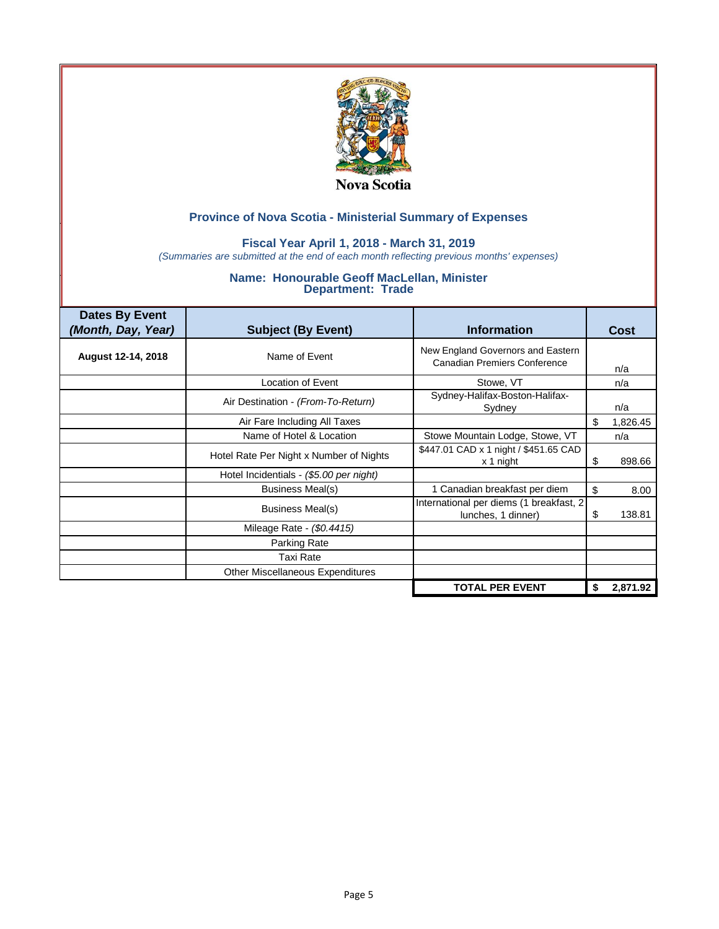

### **Fiscal Year April 1, 2018 - March 31, 2019**

*(Summaries are submitted at the end of each month reflecting previous months' expenses)*

| <b>Dates By Event</b><br>(Month, Day, Year) | <b>Subject (By Event)</b>               | <b>Information</b>                                                       |    | Cost     |
|---------------------------------------------|-----------------------------------------|--------------------------------------------------------------------------|----|----------|
| August 12-14, 2018                          | Name of Event                           | New England Governors and Eastern<br><b>Canadian Premiers Conference</b> |    | n/a      |
|                                             | Location of Event                       | Stowe, VT                                                                |    | n/a      |
|                                             | Air Destination - (From-To-Return)      | Sydney-Halifax-Boston-Halifax-<br>Sydney                                 |    | n/a      |
|                                             | Air Fare Including All Taxes            |                                                                          | \$ | 1,826.45 |
|                                             | Name of Hotel & Location                | Stowe Mountain Lodge, Stowe, VT                                          |    | n/a      |
|                                             | Hotel Rate Per Night x Number of Nights | \$447.01 CAD x 1 night / \$451.65 CAD<br>x 1 night                       | S  | 898.66   |
|                                             | Hotel Incidentials - (\$5.00 per night) |                                                                          |    |          |
|                                             | Business Meal(s)                        | 1 Canadian breakfast per diem                                            | \$ | 8.00     |
|                                             | Business Meal(s)                        | International per diems (1 breakfast, 2<br>lunches, 1 dinner)            | S  | 138.81   |
|                                             | Mileage Rate - (\$0.4415)               |                                                                          |    |          |
|                                             | Parking Rate                            |                                                                          |    |          |
|                                             | Taxi Rate                               |                                                                          |    |          |
|                                             | Other Miscellaneous Expenditures        |                                                                          |    |          |
|                                             |                                         | <b>TOTAL PER EVENT</b>                                                   | \$ | 2,871.92 |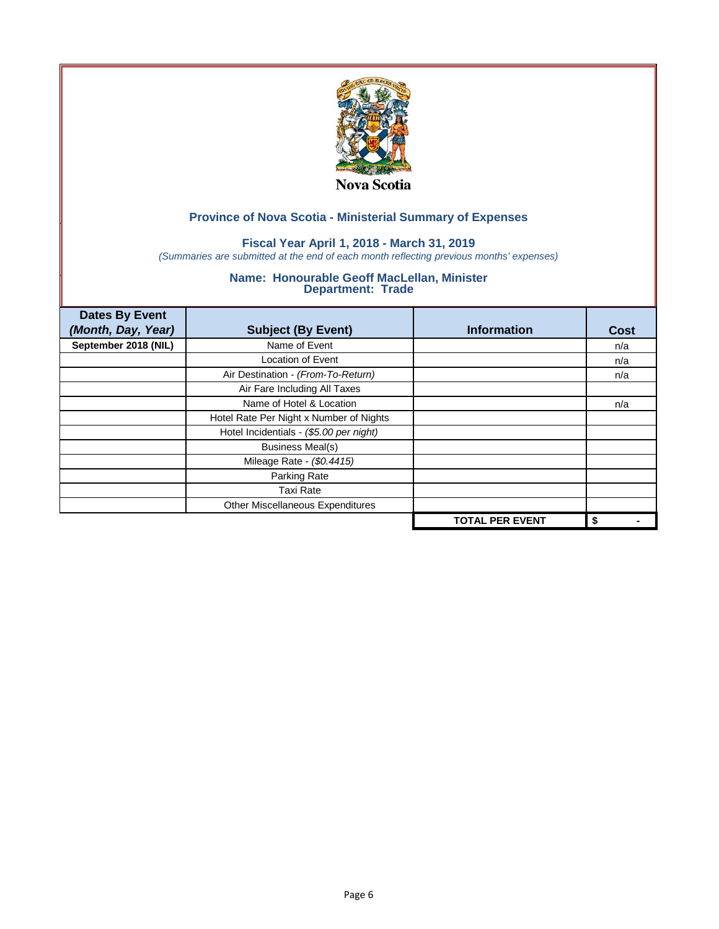

## **Fiscal Year April 1, 2018 - March 31, 2019**

*(Summaries are submitted at the end of each month reflecting previous months' expenses)*

| <b>Dates By Event</b><br>(Month, Day, Year) | <b>Subject (By Event)</b>               | <b>Information</b>     | <b>Cost</b> |
|---------------------------------------------|-----------------------------------------|------------------------|-------------|
| September 2018 (NIL)                        | Name of Event                           |                        | n/a         |
|                                             | <b>Location of Event</b>                |                        | n/a         |
|                                             | Air Destination - (From-To-Return)      |                        | n/a         |
|                                             | Air Fare Including All Taxes            |                        |             |
|                                             | Name of Hotel & Location                |                        | n/a         |
|                                             | Hotel Rate Per Night x Number of Nights |                        |             |
|                                             | Hotel Incidentials - (\$5.00 per night) |                        |             |
|                                             | <b>Business Meal(s)</b>                 |                        |             |
|                                             | Mileage Rate - (\$0.4415)               |                        |             |
|                                             | Parking Rate                            |                        |             |
|                                             | Taxi Rate                               |                        |             |
|                                             | Other Miscellaneous Expenditures        |                        |             |
|                                             |                                         | <b>TOTAL PER EVENT</b> | \$          |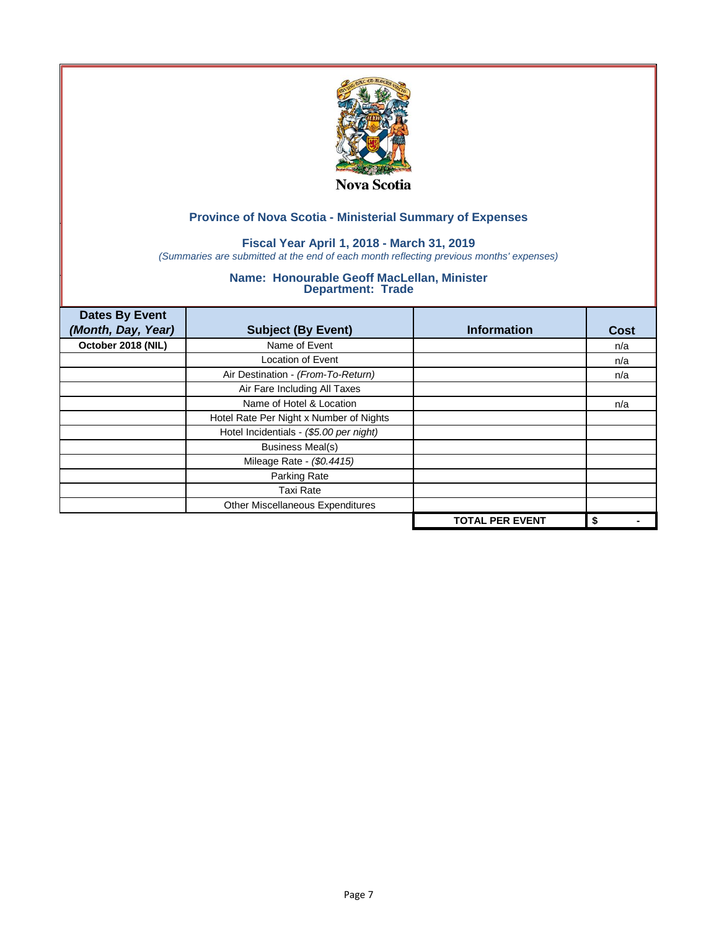

## **Fiscal Year April 1, 2018 - March 31, 2019**

*(Summaries are submitted at the end of each month reflecting previous months' expenses)*

| <b>Dates By Event</b><br>(Month, Day, Year) | <b>Subject (By Event)</b>               | <b>Information</b>     | <b>Cost</b> |
|---------------------------------------------|-----------------------------------------|------------------------|-------------|
| October 2018 (NIL)                          | Name of Event                           |                        | n/a         |
|                                             | <b>Location of Event</b>                |                        | n/a         |
|                                             | Air Destination - (From-To-Return)      |                        | n/a         |
|                                             | Air Fare Including All Taxes            |                        |             |
|                                             | Name of Hotel & Location                |                        | n/a         |
|                                             | Hotel Rate Per Night x Number of Nights |                        |             |
|                                             | Hotel Incidentials - (\$5.00 per night) |                        |             |
|                                             | <b>Business Meal(s)</b>                 |                        |             |
|                                             | Mileage Rate - (\$0.4415)               |                        |             |
|                                             | Parking Rate                            |                        |             |
|                                             | Taxi Rate                               |                        |             |
|                                             | Other Miscellaneous Expenditures        |                        |             |
|                                             |                                         | <b>TOTAL PER EVENT</b> | \$          |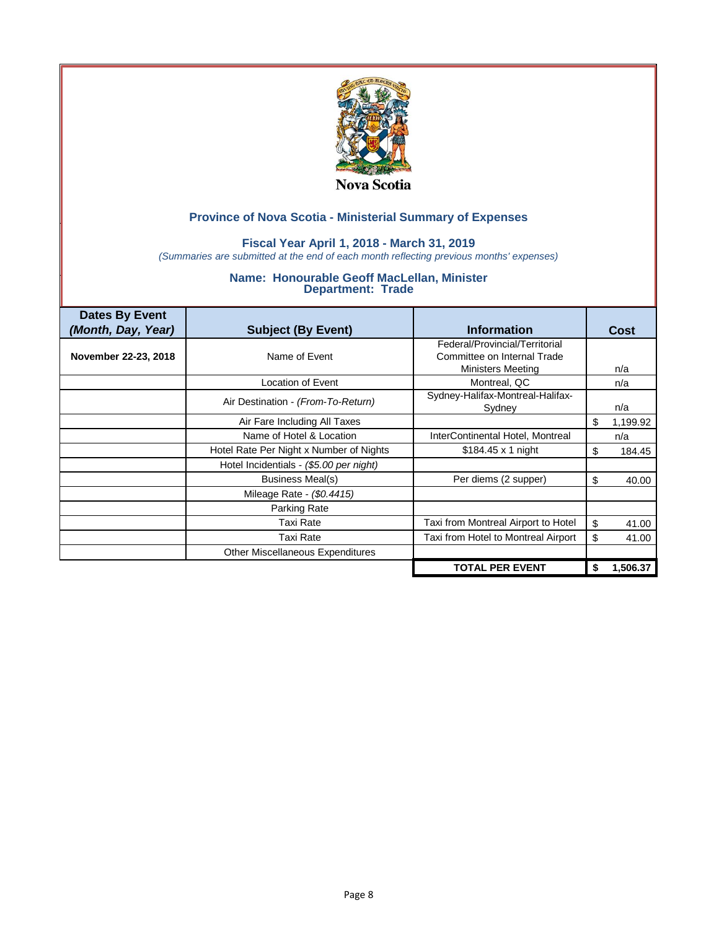

### **Fiscal Year April 1, 2018 - March 31, 2019**

*(Summaries are submitted at the end of each month reflecting previous months' expenses)*

| <b>Dates By Event</b><br>(Month, Day, Year) | <b>Subject (By Event)</b>               | <b>Information</b>                  | Cost            |
|---------------------------------------------|-----------------------------------------|-------------------------------------|-----------------|
|                                             |                                         | Federal/Provincial/Territorial      |                 |
| November 22-23, 2018                        | Name of Fyent                           | Committee on Internal Trade         |                 |
|                                             |                                         | <b>Ministers Meeting</b>            | n/a             |
|                                             | Location of Event                       | Montreal, QC                        | n/a             |
|                                             | Air Destination - (From-To-Return)      | Sydney-Halifax-Montreal-Halifax-    |                 |
|                                             |                                         | Sydney                              | n/a             |
|                                             | Air Fare Including All Taxes            |                                     | \$.<br>1,199.92 |
|                                             | Name of Hotel & Location                | InterContinental Hotel, Montreal    | n/a             |
|                                             | Hotel Rate Per Night x Number of Nights | $$184.45 \times 1$ night            | S<br>184.45     |
|                                             | Hotel Incidentials - (\$5.00 per night) |                                     |                 |
|                                             | Business Meal(s)                        | Per diems (2 supper)                | \$<br>40.00     |
|                                             | Mileage Rate - (\$0.4415)               |                                     |                 |
|                                             | Parking Rate                            |                                     |                 |
|                                             | Taxi Rate                               | Taxi from Montreal Airport to Hotel | \$<br>41.00     |
|                                             | Taxi Rate                               | Taxi from Hotel to Montreal Airport | \$<br>41.00     |
|                                             | <b>Other Miscellaneous Expenditures</b> |                                     |                 |
|                                             |                                         | <b>TOTAL PER EVENT</b>              | 1,506.37        |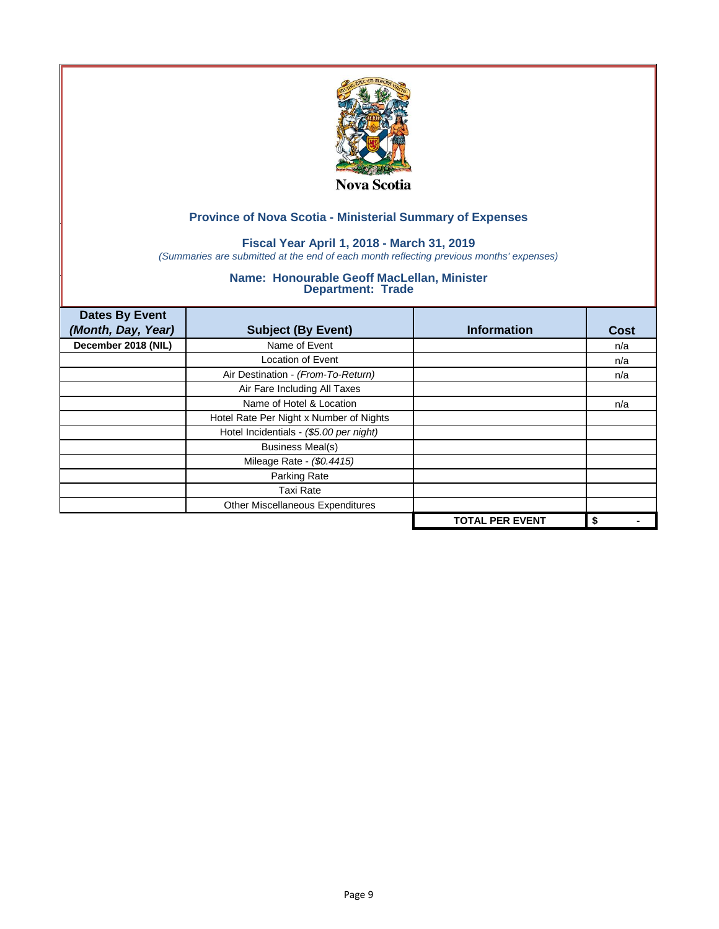

## **Fiscal Year April 1, 2018 - March 31, 2019**

*(Summaries are submitted at the end of each month reflecting previous months' expenses)*

| <b>Dates By Event</b><br>(Month, Day, Year) | <b>Subject (By Event)</b>               | <b>Information</b>     | <b>Cost</b> |
|---------------------------------------------|-----------------------------------------|------------------------|-------------|
| December 2018 (NIL)                         | Name of Event                           |                        | n/a         |
|                                             | <b>Location of Event</b>                |                        | n/a         |
|                                             | Air Destination - (From-To-Return)      |                        | n/a         |
|                                             | Air Fare Including All Taxes            |                        |             |
|                                             | Name of Hotel & Location                |                        | n/a         |
|                                             | Hotel Rate Per Night x Number of Nights |                        |             |
|                                             | Hotel Incidentials - (\$5.00 per night) |                        |             |
|                                             | <b>Business Meal(s)</b>                 |                        |             |
|                                             | Mileage Rate - (\$0.4415)               |                        |             |
|                                             | Parking Rate                            |                        |             |
|                                             | Taxi Rate                               |                        |             |
|                                             | Other Miscellaneous Expenditures        |                        |             |
|                                             |                                         | <b>TOTAL PER EVENT</b> | \$          |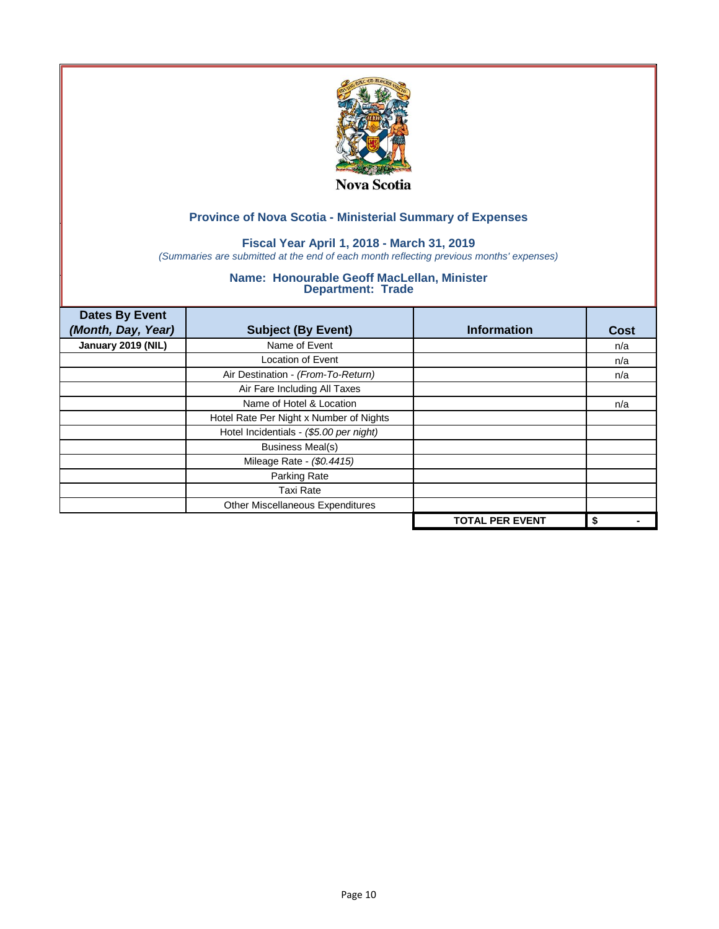

## **Fiscal Year April 1, 2018 - March 31, 2019**

*(Summaries are submitted at the end of each month reflecting previous months' expenses)*

| <b>Dates By Event</b><br>(Month, Day, Year) | <b>Subject (By Event)</b>               | <b>Information</b>     | <b>Cost</b> |
|---------------------------------------------|-----------------------------------------|------------------------|-------------|
| January 2019 (NIL)                          | Name of Event                           |                        | n/a         |
|                                             | <b>Location of Event</b>                |                        | n/a         |
|                                             | Air Destination - (From-To-Return)      |                        | n/a         |
|                                             | Air Fare Including All Taxes            |                        |             |
|                                             | Name of Hotel & Location                |                        | n/a         |
|                                             | Hotel Rate Per Night x Number of Nights |                        |             |
|                                             | Hotel Incidentials - (\$5.00 per night) |                        |             |
|                                             | <b>Business Meal(s)</b>                 |                        |             |
|                                             | Mileage Rate - (\$0.4415)               |                        |             |
|                                             | Parking Rate                            |                        |             |
|                                             | Taxi Rate                               |                        |             |
|                                             | Other Miscellaneous Expenditures        |                        |             |
|                                             |                                         | <b>TOTAL PER EVENT</b> | \$          |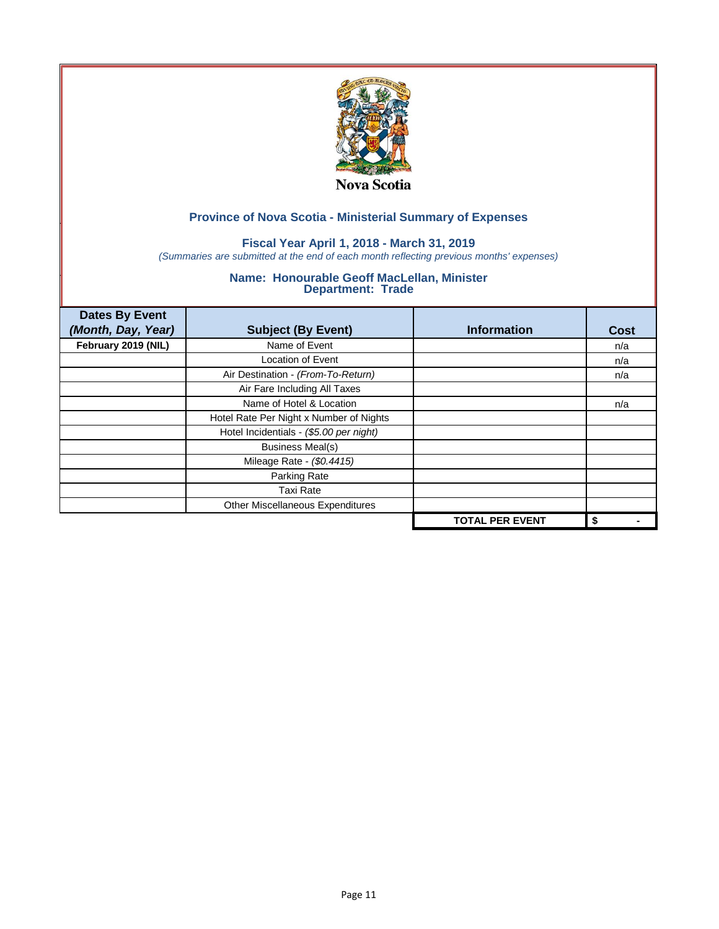

## **Fiscal Year April 1, 2018 - March 31, 2019**

*(Summaries are submitted at the end of each month reflecting previous months' expenses)*

| <b>Dates By Event</b><br>(Month, Day, Year) | <b>Subject (By Event)</b>               | <b>Information</b>     | <b>Cost</b> |
|---------------------------------------------|-----------------------------------------|------------------------|-------------|
| February 2019 (NIL)                         | Name of Event                           |                        | n/a         |
|                                             | <b>Location of Event</b>                |                        | n/a         |
|                                             | Air Destination - (From-To-Return)      |                        | n/a         |
|                                             | Air Fare Including All Taxes            |                        |             |
|                                             | Name of Hotel & Location                |                        | n/a         |
|                                             | Hotel Rate Per Night x Number of Nights |                        |             |
|                                             | Hotel Incidentials - (\$5.00 per night) |                        |             |
|                                             | <b>Business Meal(s)</b>                 |                        |             |
|                                             | Mileage Rate - (\$0.4415)               |                        |             |
|                                             | Parking Rate                            |                        |             |
|                                             | Taxi Rate                               |                        |             |
|                                             | Other Miscellaneous Expenditures        |                        |             |
|                                             |                                         | <b>TOTAL PER EVENT</b> | \$          |